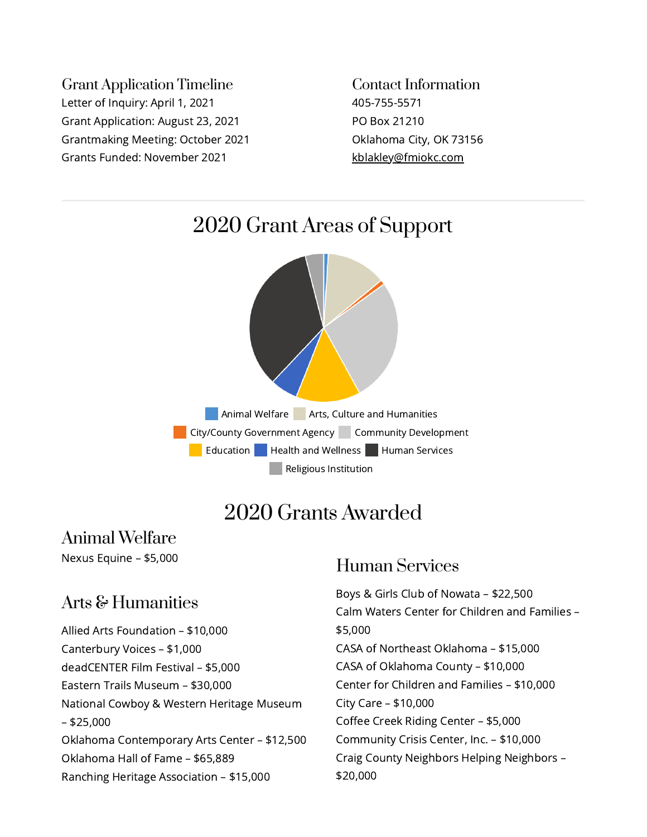Grant Application Timeline Letter of Inquiry: April 1, 2021 Grant Application: August 23, 2021 Grantmaking Meeting: October 2021 Grants Funded: November 2021

Contact Information 405-755-5571 PO Box 21210 Oklahoma City, OK 73156 [kblakley@fmiokc.com](mailto:kblakley@fmiokc.com)



# 2020 Grants Awarded

Animal Welfare Nexus Equine – \$5,000

# Arts & Humanities

Allied Arts Foundation – \$10,000 Canterbury Voices – \$1,000 deadCENTER Film Festival – \$5,000 Eastern Trails Museum – \$30,000 National Cowboy & Western Heritage Museum – \$25,000 Oklahoma Contemporary Arts Center – \$12,500 Oklahoma Hall of Fame – \$65,889 Ranching Heritage Association – \$15,000

#### Human Services

Boys & Girls Club of Nowata – \$22,500 Calm Waters Center for Children and Families – \$5,000 CASA of Northeast Oklahoma – \$15,000 CASA of Oklahoma County – \$10,000 Center for Children and Families – \$10,000 City Care – \$10,000 Coffee Creek Riding Center – \$5,000 Community Crisis Center, Inc. – \$10,000 Craig County Neighbors Helping Neighbors – \$20,000